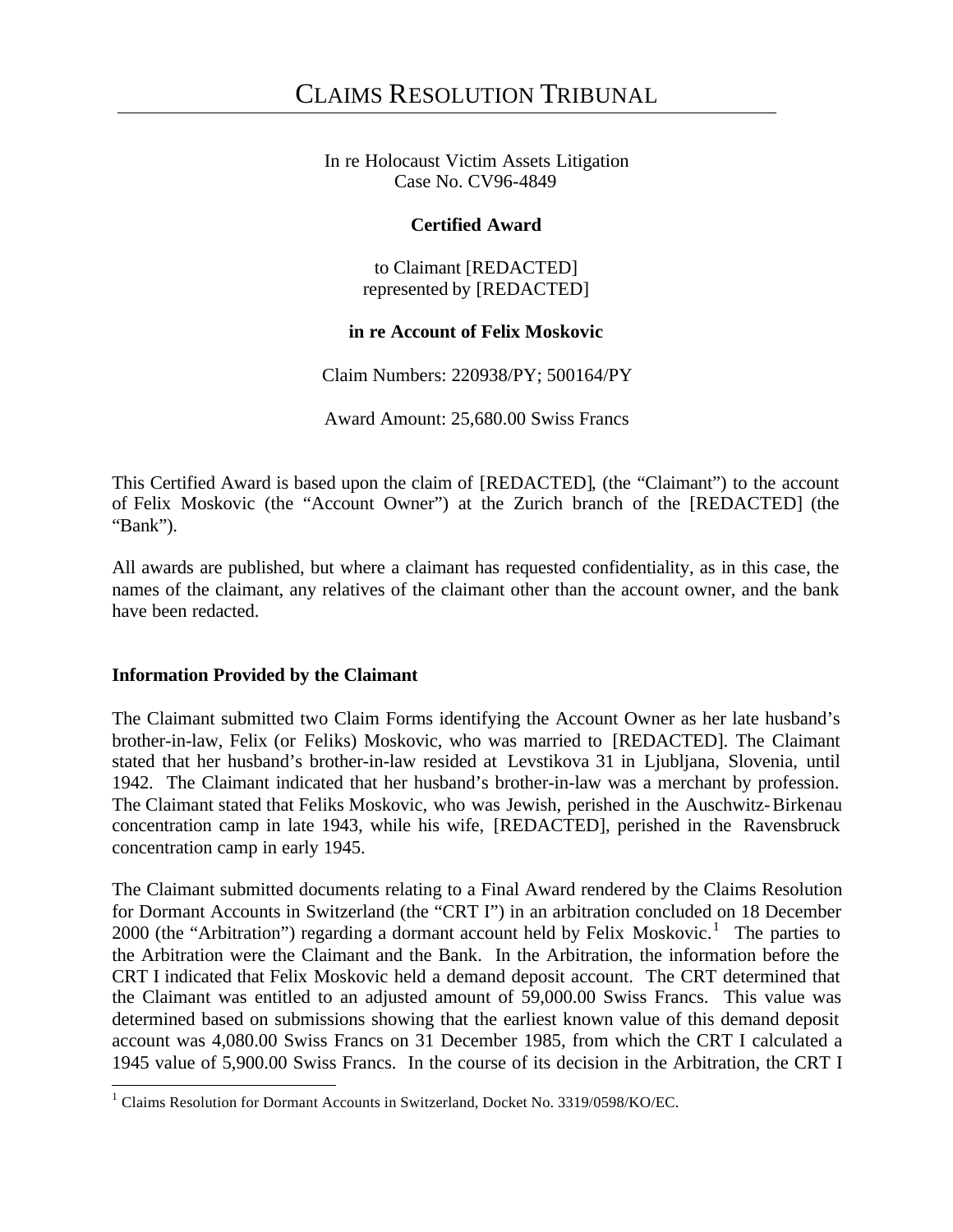In re Holocaust Victim Assets Litigation Case No. CV96-4849

## **Certified Award**

to Claimant [REDACTED] represented by [REDACTED]

## **in re Account of Felix Moskovic**

Claim Numbers: 220938/PY; 500164/PY

Award Amount: 25,680.00 Swiss Francs

This Certified Award is based upon the claim of [REDACTED], (the "Claimant") to the account of Felix Moskovic (the "Account Owner") at the Zurich branch of the [REDACTED] (the "Bank").

All awards are published, but where a claimant has requested confidentiality, as in this case, the names of the claimant, any relatives of the claimant other than the account owner, and the bank have been redacted.

## **Information Provided by the Claimant**

l

The Claimant submitted two Claim Forms identifying the Account Owner as her late husband's brother-in-law, Felix (or Feliks) Moskovic, who was married to [REDACTED]. The Claimant stated that her husband's brother-in-law resided at Levstikova 31 in Ljubljana, Slovenia, until 1942. The Claimant indicated that her husband's brother-in-law was a merchant by profession. The Claimant stated that Feliks Moskovic, who was Jewish, perished in the Auschwitz-Birkenau concentration camp in late 1943, while his wife, [REDACTED], perished in the Ravensbruck concentration camp in early 1945.

The Claimant submitted documents relating to a Final Award rendered by the Claims Resolution for Dormant Accounts in Switzerland (the "CRT I") in an arbitration concluded on 18 December 2000 (the "Arbitration") regarding a dormant account held by Felix Moskovic.<sup>1</sup> The parties to the Arbitration were the Claimant and the Bank. In the Arbitration, the information before the CRT I indicated that Felix Moskovic held a demand deposit account. The CRT determined that the Claimant was entitled to an adjusted amount of 59,000.00 Swiss Francs. This value was determined based on submissions showing that the earliest known value of this demand deposit account was 4,080.00 Swiss Francs on 31 December 1985, from which the CRT I calculated a 1945 value of 5,900.00 Swiss Francs. In the course of its decision in the Arbitration, the CRT I

<sup>&</sup>lt;sup>1</sup> Claims Resolution for Dormant Accounts in Switzerland, Docket No. 3319/0598/KO/EC.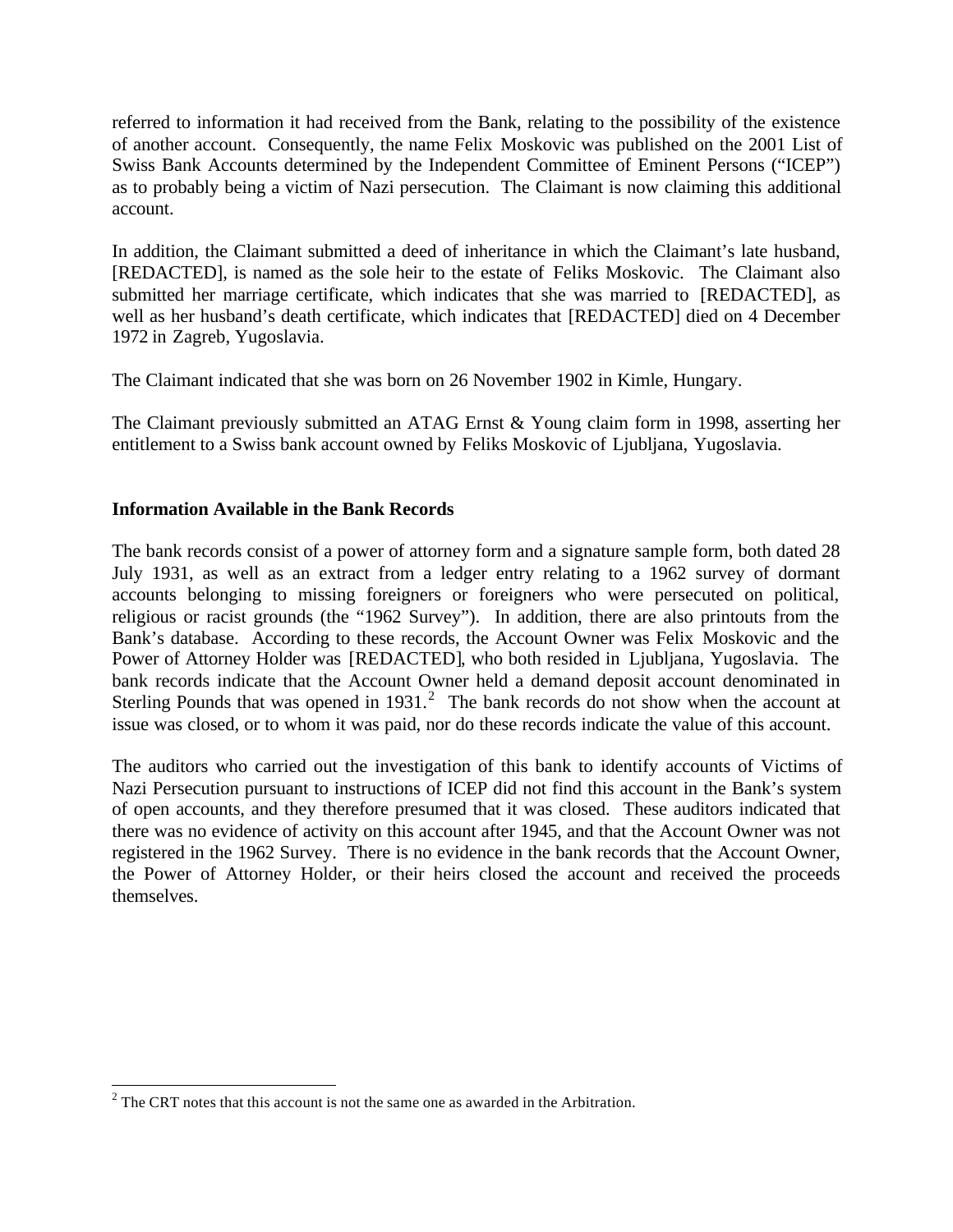referred to information it had received from the Bank, relating to the possibility of the existence of another account. Consequently, the name Felix Moskovic was published on the 2001 List of Swiss Bank Accounts determined by the Independent Committee of Eminent Persons ("ICEP") as to probably being a victim of Nazi persecution. The Claimant is now claiming this additional account.

In addition, the Claimant submitted a deed of inheritance in which the Claimant's late husband, [REDACTED], is named as the sole heir to the estate of Feliks Moskovic. The Claimant also submitted her marriage certificate, which indicates that she was married to [REDACTED], as well as her husband's death certificate, which indicates that [REDACTED] died on 4 December 1972 in Zagreb, Yugoslavia.

The Claimant indicated that she was born on 26 November 1902 in Kimle, Hungary.

The Claimant previously submitted an ATAG Ernst & Young claim form in 1998, asserting her entitlement to a Swiss bank account owned by Feliks Moskovic of Ljubljana, Yugoslavia.

## **Information Available in the Bank Records**

The bank records consist of a power of attorney form and a signature sample form, both dated 28 July 1931, as well as an extract from a ledger entry relating to a 1962 survey of dormant accounts belonging to missing foreigners or foreigners who were persecuted on political, religious or racist grounds (the "1962 Survey"). In addition, there are also printouts from the Bank's database. According to these records, the Account Owner was Felix Moskovic and the Power of Attorney Holder was [REDACTED], who both resided in Ljubljana, Yugoslavia. The bank records indicate that the Account Owner held a demand deposit account denominated in Sterling Pounds that was opened in 1931.<sup>2</sup> The bank records do not show when the account at issue was closed, or to whom it was paid, nor do these records indicate the value of this account.

The auditors who carried out the investigation of this bank to identify accounts of Victims of Nazi Persecution pursuant to instructions of ICEP did not find this account in the Bank's system of open accounts, and they therefore presumed that it was closed. These auditors indicated that there was no evidence of activity on this account after 1945, and that the Account Owner was not registered in the 1962 Survey. There is no evidence in the bank records that the Account Owner, the Power of Attorney Holder, or their heirs closed the account and received the proceeds themselves.

l

 $2^2$  The CRT notes that this account is not the same one as awarded in the Arbitration.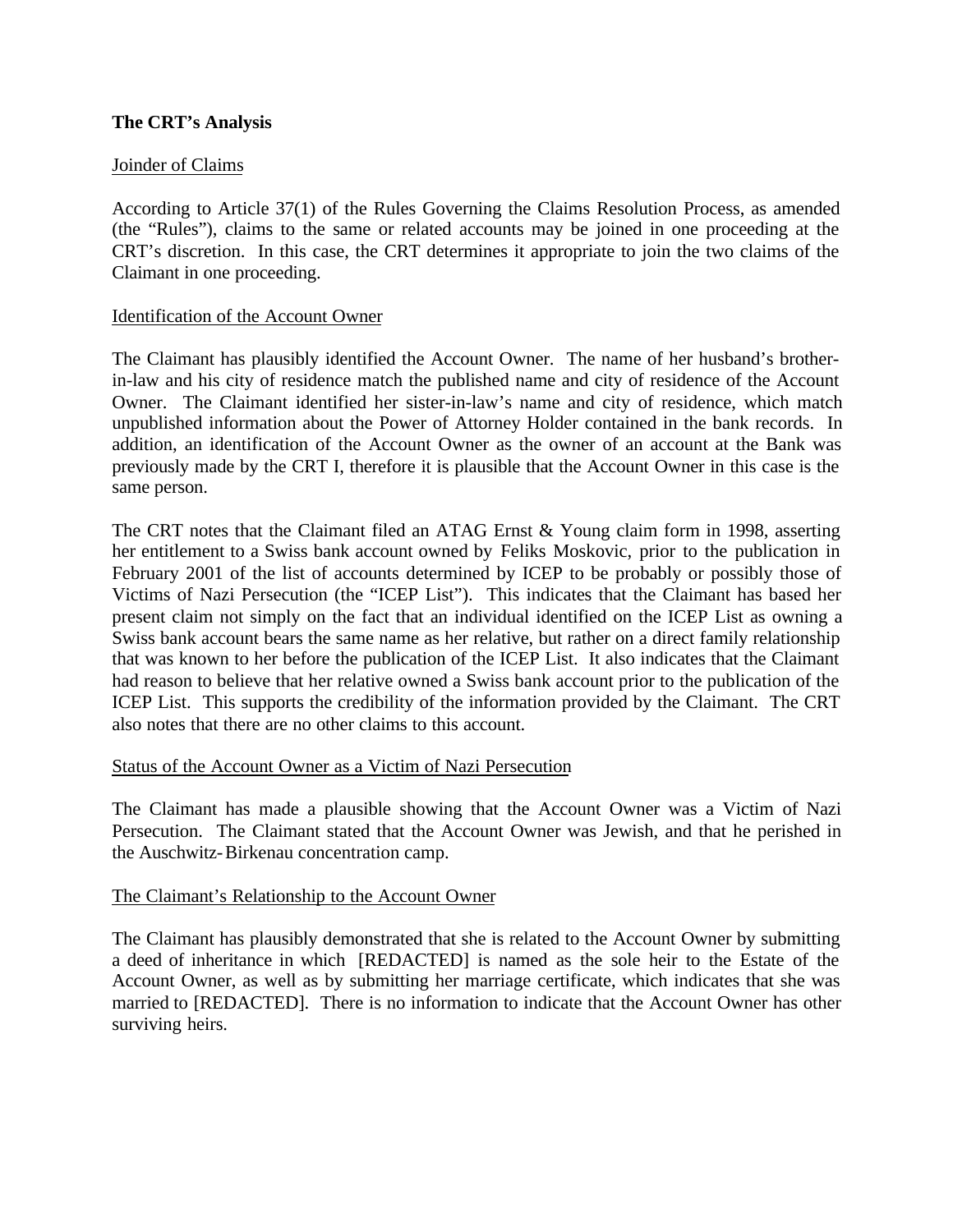## **The CRT's Analysis**

## Joinder of Claims

According to Article 37(1) of the Rules Governing the Claims Resolution Process, as amended (the "Rules"), claims to the same or related accounts may be joined in one proceeding at the CRT's discretion. In this case, the CRT determines it appropriate to join the two claims of the Claimant in one proceeding.

## Identification of the Account Owner

The Claimant has plausibly identified the Account Owner. The name of her husband's brotherin-law and his city of residence match the published name and city of residence of the Account Owner. The Claimant identified her sister-in-law's name and city of residence, which match unpublished information about the Power of Attorney Holder contained in the bank records. In addition, an identification of the Account Owner as the owner of an account at the Bank was previously made by the CRT I, therefore it is plausible that the Account Owner in this case is the same person.

The CRT notes that the Claimant filed an ATAG Ernst & Young claim form in 1998, asserting her entitlement to a Swiss bank account owned by Feliks Moskovic, prior to the publication in February 2001 of the list of accounts determined by ICEP to be probably or possibly those of Victims of Nazi Persecution (the "ICEP List"). This indicates that the Claimant has based her present claim not simply on the fact that an individual identified on the ICEP List as owning a Swiss bank account bears the same name as her relative, but rather on a direct family relationship that was known to her before the publication of the ICEP List. It also indicates that the Claimant had reason to believe that her relative owned a Swiss bank account prior to the publication of the ICEP List. This supports the credibility of the information provided by the Claimant. The CRT also notes that there are no other claims to this account.

## Status of the Account Owner as a Victim of Nazi Persecution

The Claimant has made a plausible showing that the Account Owner was a Victim of Nazi Persecution. The Claimant stated that the Account Owner was Jewish, and that he perished in the Auschwitz-Birkenau concentration camp.

## The Claimant's Relationship to the Account Owner

The Claimant has plausibly demonstrated that she is related to the Account Owner by submitting a deed of inheritance in which [REDACTED] is named as the sole heir to the Estate of the Account Owner, as well as by submitting her marriage certificate, which indicates that she was married to [REDACTED]. There is no information to indicate that the Account Owner has other surviving heirs.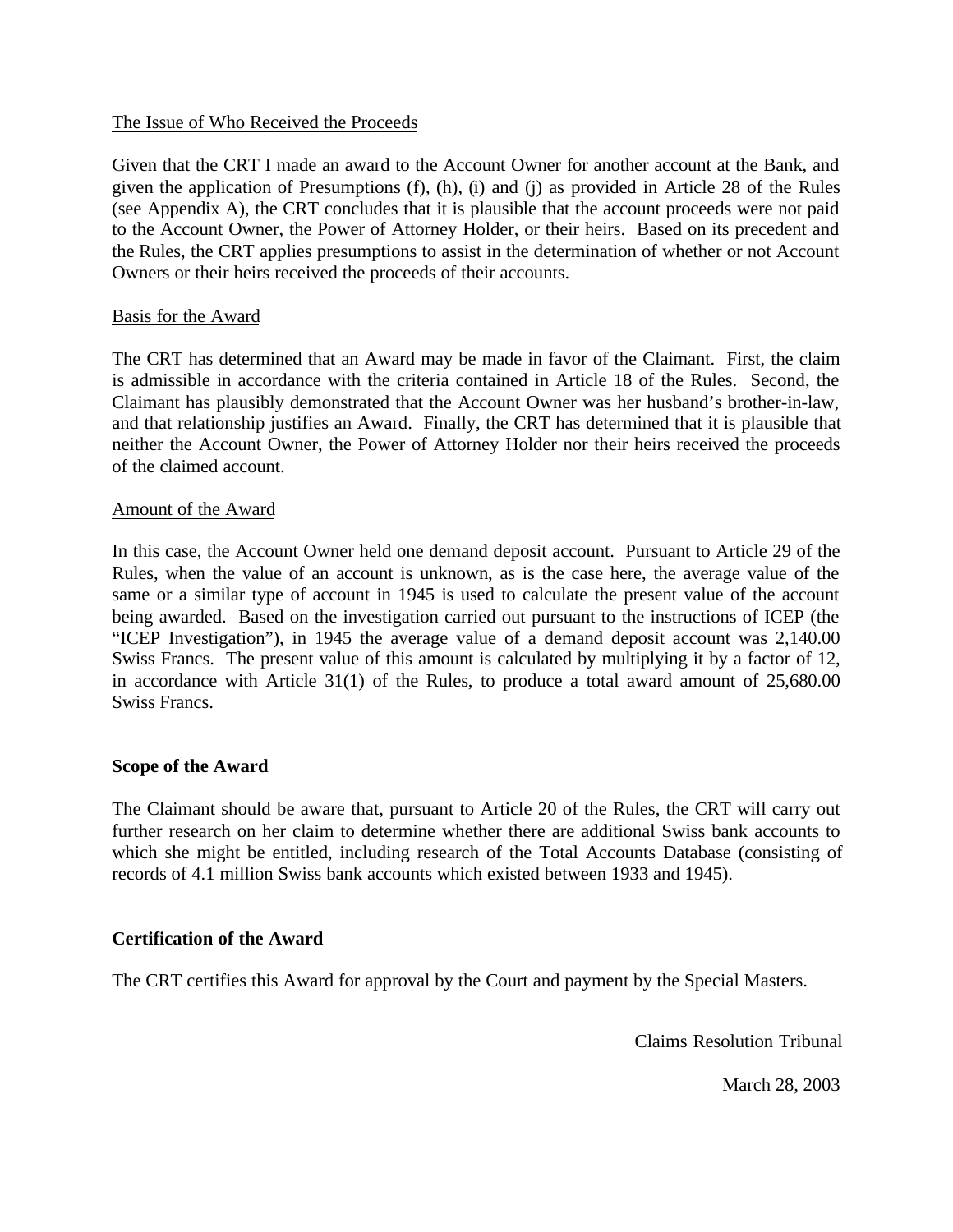#### The Issue of Who Received the Proceeds

Given that the CRT I made an award to the Account Owner for another account at the Bank, and given the application of Presumptions (f), (h), (i) and (j) as provided in Article 28 of the Rules (see Appendix A), the CRT concludes that it is plausible that the account proceeds were not paid to the Account Owner, the Power of Attorney Holder, or their heirs. Based on its precedent and the Rules, the CRT applies presumptions to assist in the determination of whether or not Account Owners or their heirs received the proceeds of their accounts.

## Basis for the Award

The CRT has determined that an Award may be made in favor of the Claimant. First, the claim is admissible in accordance with the criteria contained in Article 18 of the Rules. Second, the Claimant has plausibly demonstrated that the Account Owner was her husband's brother-in-law, and that relationship justifies an Award. Finally, the CRT has determined that it is plausible that neither the Account Owner, the Power of Attorney Holder nor their heirs received the proceeds of the claimed account.

#### Amount of the Award

In this case, the Account Owner held one demand deposit account. Pursuant to Article 29 of the Rules, when the value of an account is unknown, as is the case here, the average value of the same or a similar type of account in 1945 is used to calculate the present value of the account being awarded. Based on the investigation carried out pursuant to the instructions of ICEP (the "ICEP Investigation"), in 1945 the average value of a demand deposit account was 2,140.00 Swiss Francs. The present value of this amount is calculated by multiplying it by a factor of 12, in accordance with Article 31(1) of the Rules, to produce a total award amount of 25,680.00 Swiss Francs.

## **Scope of the Award**

The Claimant should be aware that, pursuant to Article 20 of the Rules, the CRT will carry out further research on her claim to determine whether there are additional Swiss bank accounts to which she might be entitled, including research of the Total Accounts Database (consisting of records of 4.1 million Swiss bank accounts which existed between 1933 and 1945).

## **Certification of the Award**

The CRT certifies this Award for approval by the Court and payment by the Special Masters.

Claims Resolution Tribunal

March 28, 2003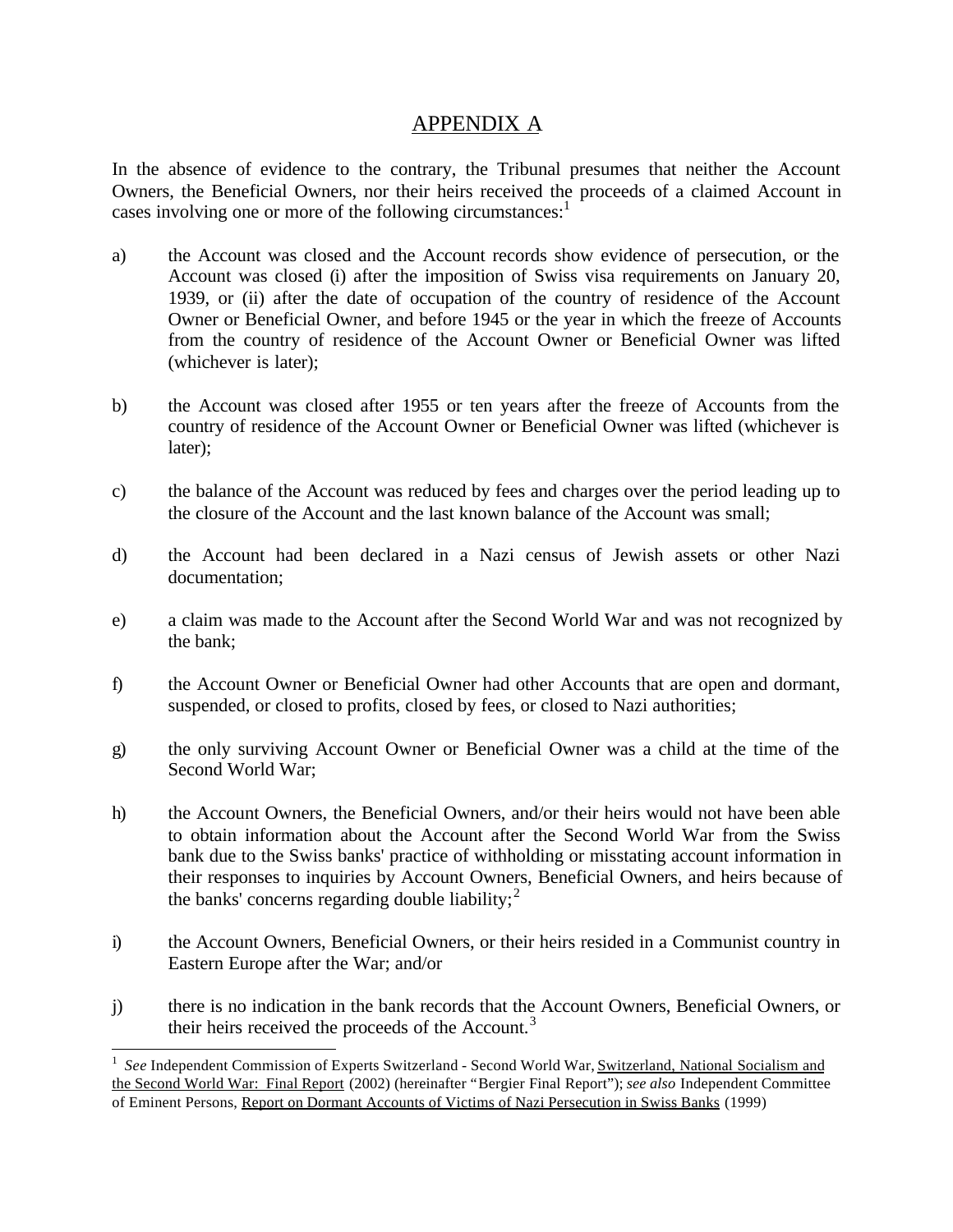# APPENDIX A

In the absence of evidence to the contrary, the Tribunal presumes that neither the Account Owners, the Beneficial Owners, nor their heirs received the proceeds of a claimed Account in cases involving one or more of the following circumstances: $<sup>1</sup>$ </sup>

- a) the Account was closed and the Account records show evidence of persecution, or the Account was closed (i) after the imposition of Swiss visa requirements on January 20, 1939, or (ii) after the date of occupation of the country of residence of the Account Owner or Beneficial Owner, and before 1945 or the year in which the freeze of Accounts from the country of residence of the Account Owner or Beneficial Owner was lifted (whichever is later);
- b) the Account was closed after 1955 or ten years after the freeze of Accounts from the country of residence of the Account Owner or Beneficial Owner was lifted (whichever is later);
- c) the balance of the Account was reduced by fees and charges over the period leading up to the closure of the Account and the last known balance of the Account was small;
- d) the Account had been declared in a Nazi census of Jewish assets or other Nazi documentation;
- e) a claim was made to the Account after the Second World War and was not recognized by the bank;
- f) the Account Owner or Beneficial Owner had other Accounts that are open and dormant, suspended, or closed to profits, closed by fees, or closed to Nazi authorities;
- g) the only surviving Account Owner or Beneficial Owner was a child at the time of the Second World War;
- h) the Account Owners, the Beneficial Owners, and/or their heirs would not have been able to obtain information about the Account after the Second World War from the Swiss bank due to the Swiss banks' practice of withholding or misstating account information in their responses to inquiries by Account Owners, Beneficial Owners, and heirs because of the banks' concerns regarding double liability;  $2^2$
- i) the Account Owners, Beneficial Owners, or their heirs resided in a Communist country in Eastern Europe after the War; and/or
- j) there is no indication in the bank records that the Account Owners, Beneficial Owners, or their heirs received the proceeds of the Account.<sup>3</sup>

l

<sup>&</sup>lt;sup>1</sup> See Independent Commission of Experts Switzerland - Second World War, Switzerland, National Socialism and the Second World War: Final Report (2002) (hereinafter "Bergier Final Report"); *see also* Independent Committee of Eminent Persons, Report on Dormant Accounts of Victims of Nazi Persecution in Swiss Banks (1999)